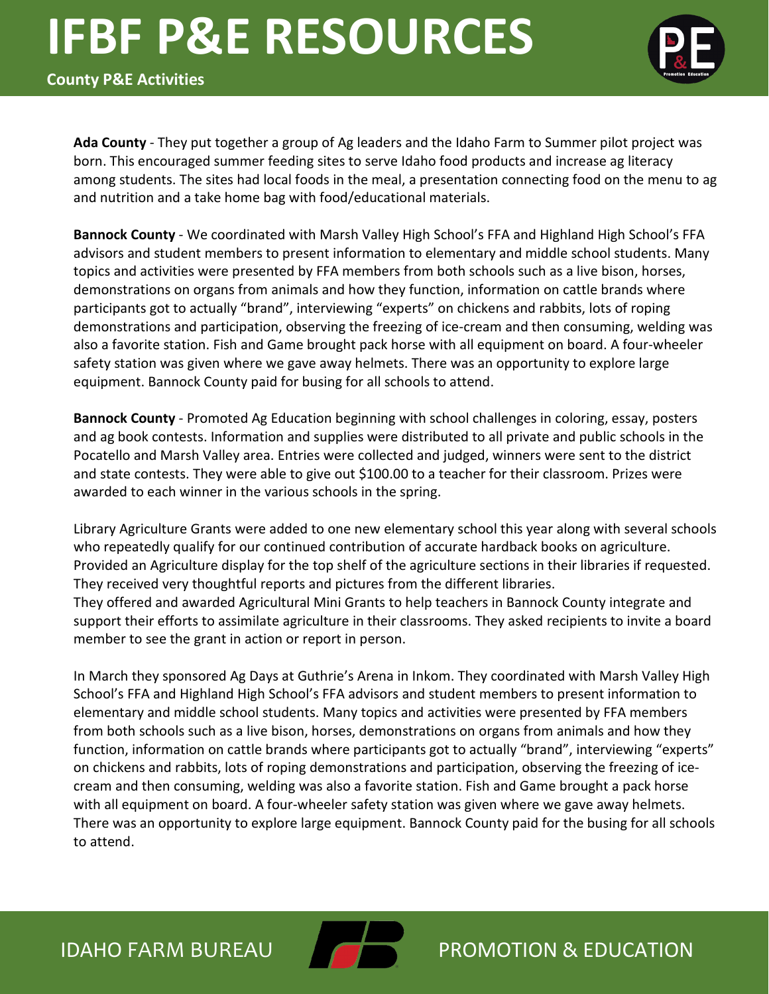

**County P&E Activities**

**Ada County** - They put together a group of Ag leaders and the Idaho Farm to Summer pilot project was born. This encouraged summer feeding sites to serve Idaho food products and increase ag literacy among students. The sites had local foods in the meal, a presentation connecting food on the menu to ag and nutrition and a take home bag with food/educational materials.

**Bannock County** - We coordinated with Marsh Valley High School's FFA and Highland High School's FFA advisors and student members to present information to elementary and middle school students. Many topics and activities were presented by FFA members from both schools such as a live bison, horses, demonstrations on organs from animals and how they function, information on cattle brands where participants got to actually "brand", interviewing "experts" on chickens and rabbits, lots of roping demonstrations and participation, observing the freezing of ice-cream and then consuming, welding was also a favorite station. Fish and Game brought pack horse with all equipment on board. A four-wheeler safety station was given where we gave away helmets. There was an opportunity to explore large equipment. Bannock County paid for busing for all schools to attend.

**Bannock County** - Promoted Ag Education beginning with school challenges in coloring, essay, posters and ag book contests. Information and supplies were distributed to all private and public schools in the Pocatello and Marsh Valley area. Entries were collected and judged, winners were sent to the district and state contests. They were able to give out \$100.00 to a teacher for their classroom. Prizes were awarded to each winner in the various schools in the spring.

Library Agriculture Grants were added to one new elementary school this year along with several schools who repeatedly qualify for our continued contribution of accurate hardback books on agriculture. Provided an Agriculture display for the top shelf of the agriculture sections in their libraries if requested. They received very thoughtful reports and pictures from the different libraries. They offered and awarded Agricultural Mini Grants to help teachers in Bannock County integrate and support their efforts to assimilate agriculture in their classrooms. They asked recipients to invite a board member to see the grant in action or report in person.

In March they sponsored Ag Days at Guthrie's Arena in Inkom. They coordinated with Marsh Valley High School's FFA and Highland High School's FFA advisors and student members to present information to elementary and middle school students. Many topics and activities were presented by FFA members from both schools such as a live bison, horses, demonstrations on organs from animals and how they function, information on cattle brands where participants got to actually "brand", interviewing "experts" on chickens and rabbits, lots of roping demonstrations and participation, observing the freezing of icecream and then consuming, welding was also a favorite station. Fish and Game brought a pack horse with all equipment on board. A four-wheeler safety station was given where we gave away helmets. There was an opportunity to explore large equipment. Bannock County paid for the busing for all schools to attend.

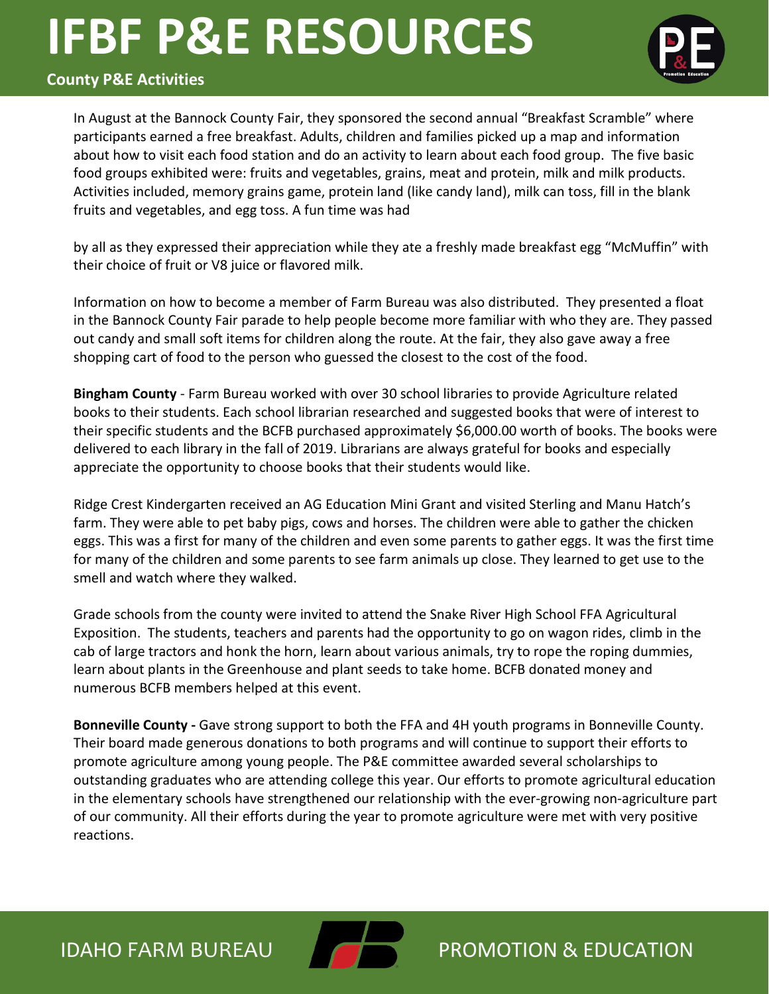

#### **County P&E Activities**

In August at the Bannock County Fair, they sponsored the second annual "Breakfast Scramble" where participants earned a free breakfast. Adults, children and families picked up a map and information about how to visit each food station and do an activity to learn about each food group. The five basic food groups exhibited were: fruits and vegetables, grains, meat and protein, milk and milk products. Activities included, memory grains game, protein land (like candy land), milk can toss, fill in the blank fruits and vegetables, and egg toss. A fun time was had

by all as they expressed their appreciation while they ate a freshly made breakfast egg "McMuffin" with their choice of fruit or V8 juice or flavored milk.

Information on how to become a member of Farm Bureau was also distributed. They presented a float in the Bannock County Fair parade to help people become more familiar with who they are. They passed out candy and small soft items for children along the route. At the fair, they also gave away a free shopping cart of food to the person who guessed the closest to the cost of the food.

**Bingham County** - Farm Bureau worked with over 30 school libraries to provide Agriculture related books to their students. Each school librarian researched and suggested books that were of interest to their specific students and the BCFB purchased approximately \$6,000.00 worth of books. The books were delivered to each library in the fall of 2019. Librarians are always grateful for books and especially appreciate the opportunity to choose books that their students would like.

Ridge Crest Kindergarten received an AG Education Mini Grant and visited Sterling and Manu Hatch's farm. They were able to pet baby pigs, cows and horses. The children were able to gather the chicken eggs. This was a first for many of the children and even some parents to gather eggs. It was the first time for many of the children and some parents to see farm animals up close. They learned to get use to the smell and watch where they walked.

Grade schools from the county were invited to attend the Snake River High School FFA Agricultural Exposition. The students, teachers and parents had the opportunity to go on wagon rides, climb in the cab of large tractors and honk the horn, learn about various animals, try to rope the roping dummies, learn about plants in the Greenhouse and plant seeds to take home. BCFB donated money and numerous BCFB members helped at this event.

**Bonneville County -** Gave strong support to both the FFA and 4H youth programs in Bonneville County. Their board made generous donations to both programs and will continue to support their efforts to promote agriculture among young people. The P&E committee awarded several scholarships to outstanding graduates who are attending college this year. Our efforts to promote agricultural education in the elementary schools have strengthened our relationship with the ever-growing non-agriculture part of our community. All their efforts during the year to promote agriculture were met with very positive reactions.

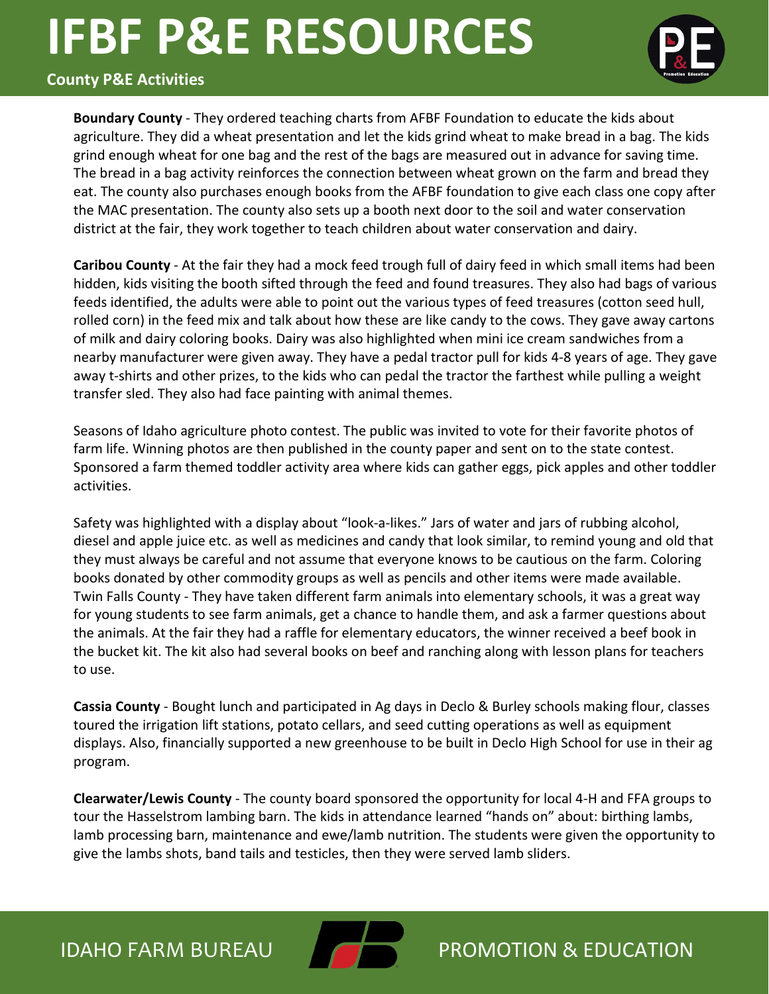

### **County P&E Activities**

**Boundary County** - They ordered teaching charts from AFBF Foundation to educate the kids about agriculture. They did a wheat presentation and let the kids grind wheat to make bread in a bag. The kids grind enough wheat for one bag and the rest of the bags are measured out in advance for saving time. The bread in a bag activity reinforces the connection between wheat grown on the farm and bread they eat. The county also purchases enough books from the AFBF foundation to give each class one copy after the MAC presentation. The county also sets up a booth next door to the soil and water conservation district at the fair, they work together to teach children about water conservation and dairy.

**Caribou County** - At the fair they had a mock feed trough full of dairy feed in which small items had been hidden, kids visiting the booth sifted through the feed and found treasures. They also had bags of various feeds identified, the adults were able to point out the various types of feed treasures (cotton seed hull, rolled corn) in the feed mix and talk about how these are like candy to the cows. They gave away cartons of milk and dairy coloring books. Dairy was also highlighted when mini ice cream sandwiches from a nearby manufacturer were given away. They have a pedal tractor pull for kids 4-8 years of age. They gave away t-shirts and other prizes, to the kids who can pedal the tractor the farthest while pulling a weight transfer sled. They also had face painting with animal themes.

Seasons of Idaho agriculture photo contest. The public was invited to vote for their favorite photos of farm life. Winning photos are then published in the county paper and sent on to the state contest. Sponsored a farm themed toddler activity area where kids can gather eggs, pick apples and other toddler activities.

Safety was highlighted with a display about "look-a-likes." Jars of water and jars of rubbing alcohol, diesel and apple juice etc. as well as medicines and candy that look similar, to remind young and old that they must always be careful and not assume that everyone knows to be cautious on the farm. Coloring books donated by other commodity groups as well as pencils and other items were made available. Twin Falls County - They have taken different farm animals into elementary schools, it was a great way for young students to see farm animals, get a chance to handle them, and ask a farmer questions about the animals. At the fair they had a raffle for elementary educators, the winner received a beef book in the bucket kit. The kit also had several books on beef and ranching along with lesson plans for teachers to use.

**Cassia County** - Bought lunch and participated in Ag days in Declo & Burley schools making flour, classes toured the irrigation lift stations, potato cellars, and seed cutting operations as well as equipment displays. Also, financially supported a new greenhouse to be built in Declo High School for use in their ag program.

**Clearwater/Lewis County** - The county board sponsored the opportunity for local 4-H and FFA groups to tour the Hasselstrom lambing barn. The kids in attendance learned "hands on" about: birthing lambs, lamb processing barn, maintenance and ewe/lamb nutrition. The students were given the opportunity to give the lambs shots, band tails and testicles, then they were served lamb sliders.

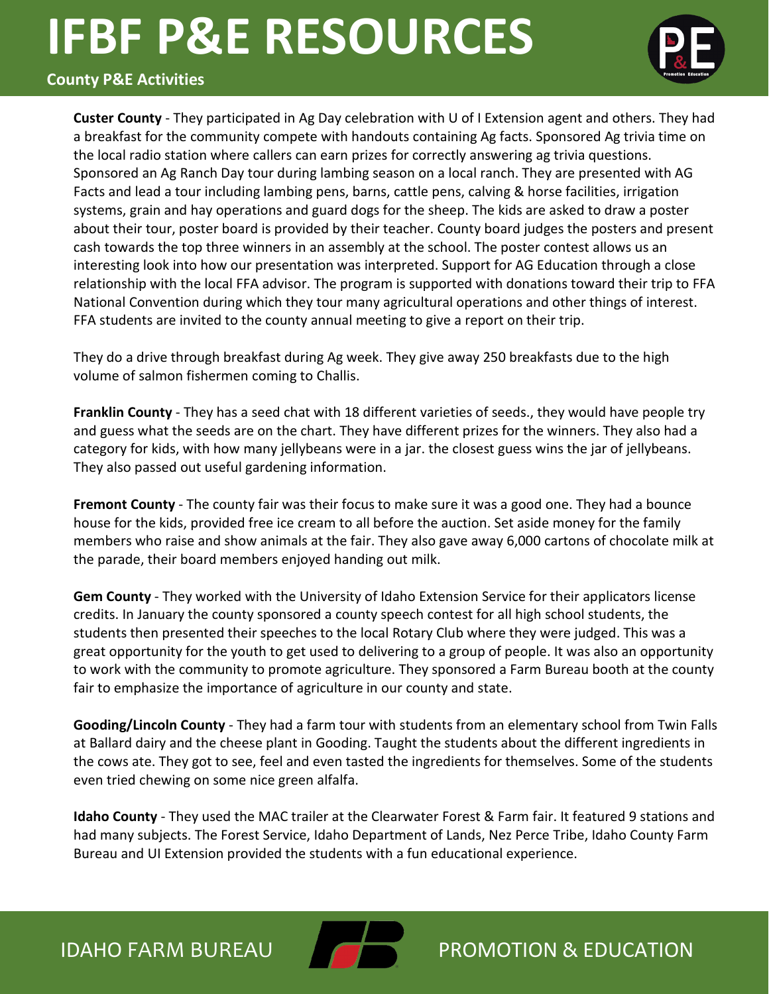

#### **County P&E Activities**

**Custer County** - They participated in Ag Day celebration with U of I Extension agent and others. They had a breakfast for the community compete with handouts containing Ag facts. Sponsored Ag trivia time on the local radio station where callers can earn prizes for correctly answering ag trivia questions. Sponsored an Ag Ranch Day tour during lambing season on a local ranch. They are presented with AG Facts and lead a tour including lambing pens, barns, cattle pens, calving & horse facilities, irrigation systems, grain and hay operations and guard dogs for the sheep. The kids are asked to draw a poster about their tour, poster board is provided by their teacher. County board judges the posters and present cash towards the top three winners in an assembly at the school. The poster contest allows us an interesting look into how our presentation was interpreted. Support for AG Education through a close relationship with the local FFA advisor. The program is supported with donations toward their trip to FFA National Convention during which they tour many agricultural operations and other things of interest. FFA students are invited to the county annual meeting to give a report on their trip.

They do a drive through breakfast during Ag week. They give away 250 breakfasts due to the high volume of salmon fishermen coming to Challis.

**Franklin County** - They has a seed chat with 18 different varieties of seeds., they would have people try and guess what the seeds are on the chart. They have different prizes for the winners. They also had a category for kids, with how many jellybeans were in a jar. the closest guess wins the jar of jellybeans. They also passed out useful gardening information.

**Fremont County** - The county fair was their focus to make sure it was a good one. They had a bounce house for the kids, provided free ice cream to all before the auction. Set aside money for the family members who raise and show animals at the fair. They also gave away 6,000 cartons of chocolate milk at the parade, their board members enjoyed handing out milk.

**Gem County** - They worked with the University of Idaho Extension Service for their applicators license credits. In January the county sponsored a county speech contest for all high school students, the students then presented their speeches to the local Rotary Club where they were judged. This was a great opportunity for the youth to get used to delivering to a group of people. It was also an opportunity to work with the community to promote agriculture. They sponsored a Farm Bureau booth at the county fair to emphasize the importance of agriculture in our county and state.

**Gooding/Lincoln County** - They had a farm tour with students from an elementary school from Twin Falls at Ballard dairy and the cheese plant in Gooding. Taught the students about the different ingredients in the cows ate. They got to see, feel and even tasted the ingredients for themselves. Some of the students even tried chewing on some nice green alfalfa.

**Idaho County** - They used the MAC trailer at the Clearwater Forest & Farm fair. It featured 9 stations and had many subjects. The Forest Service, Idaho Department of Lands, Nez Perce Tribe, Idaho County Farm Bureau and UI Extension provided the students with a fun educational experience.

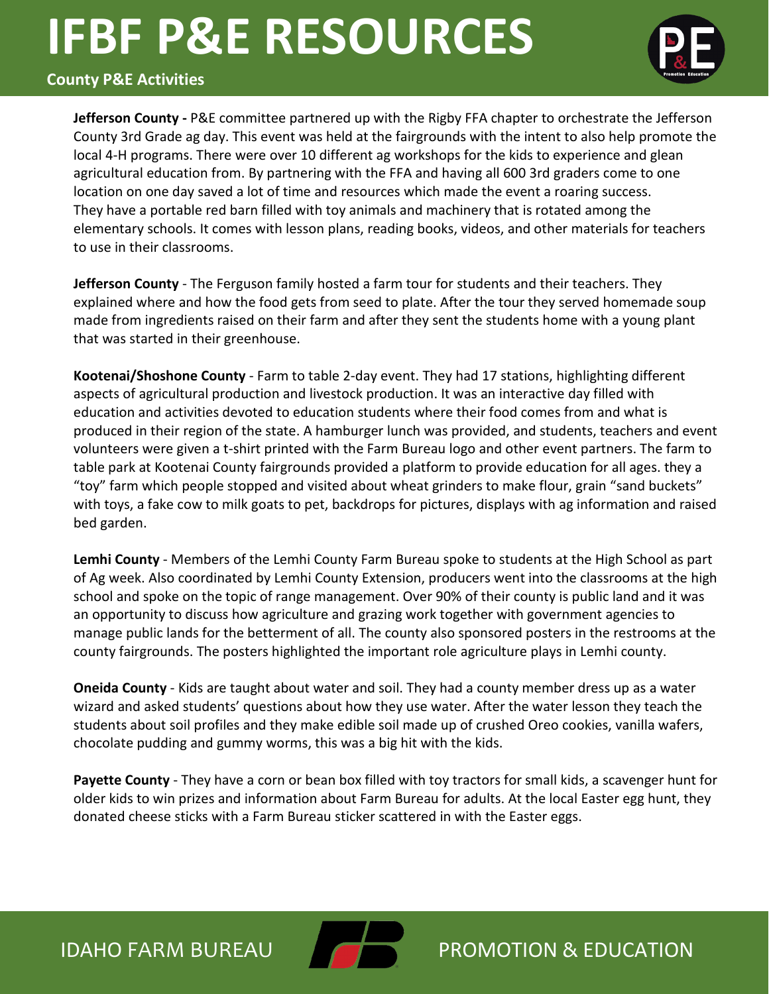

#### **County P&E Activities**

**Jefferson County -** P&E committee partnered up with the Rigby FFA chapter to orchestrate the Jefferson County 3rd Grade ag day. This event was held at the fairgrounds with the intent to also help promote the local 4-H programs. There were over 10 different ag workshops for the kids to experience and glean agricultural education from. By partnering with the FFA and having all 600 3rd graders come to one location on one day saved a lot of time and resources which made the event a roaring success. They have a portable red barn filled with toy animals and machinery that is rotated among the elementary schools. It comes with lesson plans, reading books, videos, and other materials for teachers to use in their classrooms.

**Jefferson County** - The Ferguson family hosted a farm tour for students and their teachers. They explained where and how the food gets from seed to plate. After the tour they served homemade soup made from ingredients raised on their farm and after they sent the students home with a young plant that was started in their greenhouse.

**Kootenai/Shoshone County** - Farm to table 2-day event. They had 17 stations, highlighting different aspects of agricultural production and livestock production. It was an interactive day filled with education and activities devoted to education students where their food comes from and what is produced in their region of the state. A hamburger lunch was provided, and students, teachers and event volunteers were given a t-shirt printed with the Farm Bureau logo and other event partners. The farm to table park at Kootenai County fairgrounds provided a platform to provide education for all ages. they a "toy" farm which people stopped and visited about wheat grinders to make flour, grain "sand buckets" with toys, a fake cow to milk goats to pet, backdrops for pictures, displays with ag information and raised bed garden.

**Lemhi County** - Members of the Lemhi County Farm Bureau spoke to students at the High School as part of Ag week. Also coordinated by Lemhi County Extension, producers went into the classrooms at the high school and spoke on the topic of range management. Over 90% of their county is public land and it was an opportunity to discuss how agriculture and grazing work together with government agencies to manage public lands for the betterment of all. The county also sponsored posters in the restrooms at the county fairgrounds. The posters highlighted the important role agriculture plays in Lemhi county.

**Oneida County** - Kids are taught about water and soil. They had a county member dress up as a water wizard and asked students' questions about how they use water. After the water lesson they teach the students about soil profiles and they make edible soil made up of crushed Oreo cookies, vanilla wafers, chocolate pudding and gummy worms, this was a big hit with the kids.

**Payette County** - They have a corn or bean box filled with toy tractors for small kids, a scavenger hunt for older kids to win prizes and information about Farm Bureau for adults. At the local Easter egg hunt, they donated cheese sticks with a Farm Bureau sticker scattered in with the Easter eggs.